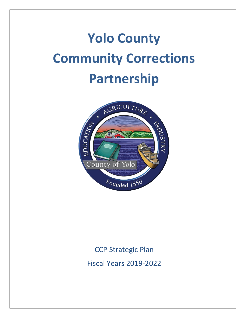# **Yolo County Community Corrections**



# CCP Strategic Plan Fiscal Years 2019-2022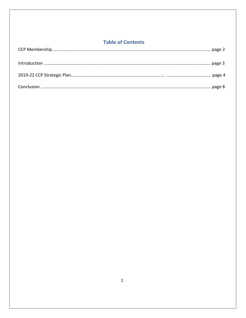# **Table of Contents**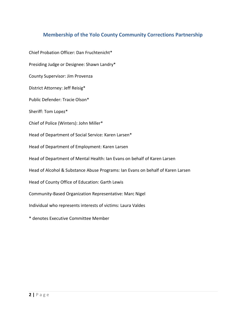# **Membership of the Yolo County Community Corrections Partnership**

Chief Probation Officer: Dan Fruchtenicht\* Presiding Judge or Designee: Shawn Landry\* County Supervisor: Jim Provenza District Attorney: Jeff Reisig\* Public Defender: Tracie Olson\* Sheriff: Tom Lopez\* Chief of Police (Winters): John Miller\* Head of Department of Social Service: Karen Larsen\* Head of Department of Employment: Karen Larsen Head of Department of Mental Health: Ian Evans on behalf of Karen Larsen Head of Alcohol & Substance Abuse Programs: Ian Evans on behalf of Karen Larsen Head of County Office of Education: Garth Lewis Community-Based Organization Representative: Marc Nigel Individual who represents interests of victims: Laura Valdes

\* denotes Executive Committee Member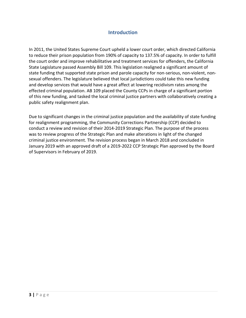# **Introduction**

In 2011, the United States Supreme Court upheld a lower court order, which directed California to reduce their prison population from 190% of capacity to 137.5% of capacity. In order to fulfill the court order and improve rehabilitative and treatment services for offenders, the California State Legislature passed Assembly Bill 109. This legislation realigned a significant amount of state funding that supported state prison and parole capacity for non-serious, non-violent, nonsexual offenders. The legislature believed that local jurisdictions could take this new funding and develop services that would have a great affect at lowering recidivism rates among the effected criminal population. AB 109 placed the County CCPs in charge of a significant portion of this new funding, and tasked the local criminal justice partners with collaboratively creating a public safety realignment plan.

Due to significant changes in the criminal justice population and the availability of state funding for realignment programming, the Community Corrections Partnership (CCP) decided to conduct a review and revision of their 2014-2019 Strategic Plan. The purpose of the process was to review progress of the Strategic Plan and make alterations in light of the changed criminal justice environment. The revision process began in March 2018 and concluded in January 2019 with an approved draft of a 2019-2022 CCP Strategic Plan approved by the Board of Supervisors in February of 2019.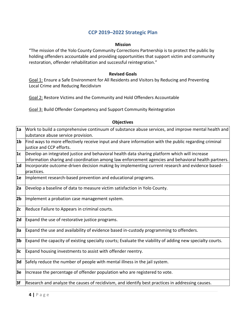## **CCP 2019–2022 Strategic Plan**

#### **Mission**

"The mission of the Yolo County Community Corrections Partnership is to protect the public by holding offenders accountable and providing opportunities that support victim and community restoration, offender rehabilitation and successful reintegration."

#### **Revised Goals**

Goal 1: Ensure a Safe Environment for All Residents and Visitors by Reducing and Preventing Local Crime and Reducing Recidivism

Goal 2: Restore Victims and the Community and Hold Offenders Accountable

Goal 3: Build Offender Competency and Support Community Reintegration

#### **Objectives**

| 1a             | Work to build a comprehensive continuum of substance abuse services, and improve mental health and       |
|----------------|----------------------------------------------------------------------------------------------------------|
|                | substance abuse service provision.                                                                       |
| 1 <sub>b</sub> | Find ways to more effectively receive input and share information with the public regarding criminal     |
|                | ustice and CCP efforts.                                                                                  |
| 1c             | Develop an integrated justice and behavioral health data sharing platform which will increase            |
|                | information sharing and coordination among law enforcement agencies and behavioral health partners.      |
| 1d             | Incorporate outcome-driven decision making by implementing current research and evidence based-          |
|                | practices.                                                                                               |
| 1e             | Implement research-based prevention and educational programs.                                            |
| 2a             | Develop a baseline of data to measure victim satisfaction in Yolo County.                                |
|                |                                                                                                          |
| 2 <sub>b</sub> | Implement a probation case management system.                                                            |
| 2c             | Reduce Failure to Appears in criminal courts.                                                            |
| 2d             | Expand the use of restorative justice programs.                                                          |
| 3а             | Expand the use and availability of evidence based in-custody programming to offenders.                   |
|                |                                                                                                          |
| 3 <sub>b</sub> | Expand the capacity of existing specialty courts; Evaluate the viability of adding new specialty courts. |
| 3c             | Expand housing investments to assist with offender reentry.                                              |
| 3d             | Safely reduce the number of people with mental illness in the jail system.                               |
| 3е             | Increase the percentage of offender population who are registered to vote.                               |
| 3f             | Research and analyze the causes of recidivism, and identify best practices in addressing causes.         |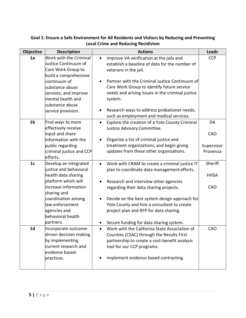| <b>Objective</b> | <b>Description</b>                            | <b>Actions</b>                                              | <b>Leads</b> |
|------------------|-----------------------------------------------|-------------------------------------------------------------|--------------|
| 1a               | Work with the Criminal                        | Improve VA verification at the jails and                    | <b>CCP</b>   |
|                  | Justice Continuum of                          | establish a baseline of data for the number of              |              |
|                  | Care Work Group to                            | veterans in the jail.                                       |              |
|                  | build a comprehensive                         |                                                             |              |
|                  | continuum of                                  | Partner with the Criminal Justice Continuum of              |              |
|                  | substance abuse                               | Care Work Group to identify future service                  |              |
|                  | services, and improve                         | needs and arising issues in the criminal justice            |              |
|                  | mental health and                             | system.                                                     |              |
|                  | substance abuse                               |                                                             |              |
|                  | service provision.                            | Research ways to address probationer needs,<br>٠            |              |
|                  |                                               | such as employment and medical services.                    |              |
| 1 <sub>b</sub>   | Find ways to more                             | Explore the creation of a Yolo County Criminal<br>$\bullet$ | DA           |
|                  | effectively receive                           | Justice Advisory Committee.                                 |              |
|                  | input and share                               |                                                             | CAO          |
|                  | information with the                          | Organize a list of criminal justice and                     |              |
|                  | public regarding                              | treatment organizations, and begin giving                   | Supervisor   |
|                  | criminal justice and CCP                      | updates from these other organizations.                     | Provenza     |
|                  | efforts.                                      |                                                             |              |
| 1 <sub>c</sub>   | Develop an integrated                         | Work with CRAM to create a criminal justice IT<br>$\bullet$ | Sheriff      |
|                  | justice and behavioral<br>health data sharing | plan to coordinate data management efforts.                 | <b>HHSA</b>  |
|                  | platform which will                           |                                                             |              |
|                  | increase information                          | Research and interview other agencies                       | CAO          |
|                  | sharing and                                   | regarding their data sharing projects.                      |              |
|                  | coordination among                            | Decide on the best system design approach for<br>٠          |              |
|                  | law enforcement                               | Yolo County and hire a consultant to create                 |              |
|                  | agencies and                                  | project plan and RFP for data sharing.                      |              |
|                  | behavioral health                             |                                                             |              |
|                  | partners.                                     | Secure funding for data sharing system.                     |              |
| 1d               | Incorporate outcome-                          | Work with the California State Association of               | CAO          |
|                  | driven decision making                        | Counties (CSAC) through the Results First                   |              |
|                  | by implementing                               | partnership to create a cost-benefit analysis               |              |
|                  | current research and                          | tool for our CCP programs.                                  |              |
|                  | evidence based-                               |                                                             |              |
|                  | practices.                                    | Implement evidence based contracting.                       |              |
|                  |                                               |                                                             |              |
|                  |                                               |                                                             |              |

## **Goal 1: Ensure a Safe Environment for All Residents and Visitors by Reducing and Preventing Local Crime and Reducing Recidivism**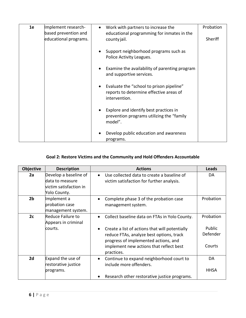| 1e | Implement research-<br>based prevention and<br>educational programs. | Work with partners to increase the<br>educational programming for inmates in the<br>county jail.     | Probation<br>Sheriff |
|----|----------------------------------------------------------------------|------------------------------------------------------------------------------------------------------|----------------------|
|    |                                                                      | Support neighborhood programs such as<br>Police Activity Leagues.                                    |                      |
|    |                                                                      | Examine the availability of parenting program<br>and supportive services.                            |                      |
|    |                                                                      | Evaluate the "school to prison pipeline"<br>reports to determine effective areas of<br>intervention. |                      |
|    |                                                                      | Explore and identify best practices in<br>prevention programs utilizing the "family"<br>model".      |                      |
|    |                                                                      | Develop public education and awareness<br>programs.                                                  |                      |

# **Goal 2: Restore Victims and the Community and Hold Offenders Accountable**

| <b>Objective</b> | <b>Description</b>                                                                 | <b>Actions</b>                                                                                                                                                                                                                                            | <b>Leads</b>                              |
|------------------|------------------------------------------------------------------------------------|-----------------------------------------------------------------------------------------------------------------------------------------------------------------------------------------------------------------------------------------------------------|-------------------------------------------|
| 2a               | Develop a baseline of<br>data to measure<br>victim satisfaction in<br>Yolo County. | Use collected data to create a baseline of<br>$\bullet$<br>victim satisfaction for further analysis.                                                                                                                                                      | DA                                        |
| 2 <sub>b</sub>   | Implement a<br>probation case<br>management system.                                | Complete phase 3 of the probation case<br>management system.                                                                                                                                                                                              | Probation                                 |
| 2c               | Reduce Failure to<br>Appears in criminal<br>courts.                                | Collect baseline data on FTAs in Yolo County.<br>$\bullet$<br>Create a list of actions that will potentially<br>reduce FTAs, analyze best options, track<br>progress of implemented actions, and<br>implement new actions that reflect best<br>practices. | Probation<br>Public<br>Defender<br>Courts |
| 2d               | Expand the use of<br>restorative justice<br>programs.                              | Continue to expand neighborhood court to<br>$\bullet$<br>include more offenders.<br>Research other restorative justice programs.                                                                                                                          | DA<br><b>HHSA</b>                         |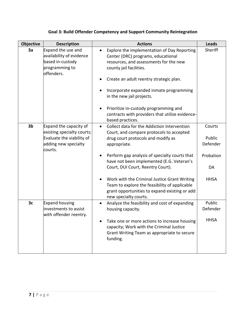| Objective      | <b>Description</b>                                                                                                   | <b>Actions</b>                                                                                                                                                                                                                                                                                                                                                                                                                                                           | Leads                                                          |
|----------------|----------------------------------------------------------------------------------------------------------------------|--------------------------------------------------------------------------------------------------------------------------------------------------------------------------------------------------------------------------------------------------------------------------------------------------------------------------------------------------------------------------------------------------------------------------------------------------------------------------|----------------------------------------------------------------|
| 3a             | Expand the use and<br>availability of evidence<br>based in-custody<br>programming to<br>offenders.                   | Explore the implementation of Day Reporting<br>$\bullet$<br>Center (DRC) programs, educational<br>resources, and assessments for the new<br>county jail facilities.<br>Create an adult reentry strategic plan.<br>Incorporate expanded inmate programming<br>in the new jail projects.<br>Prioritize in-custody programming and<br>contracts with providers that utilize evidence-<br>based practices.                                                                   | Sheriff                                                        |
| 3 <sub>b</sub> | Expand the capacity of<br>existing specialty courts;<br>Evaluate the viability of<br>adding new specialty<br>courts. | Collect data for the Addiction Intervention<br>$\bullet$<br>Court, and compare protocols to accepted<br>drug court protocols and modify as<br>appropriate.<br>Perform gap analysis of specialty courts that<br>have not been implemented (E.G. Veteran's<br>Court, DUI Court, Reentry Court).<br>Work with the Criminal Justice Grant Writing<br>Team to explore the feasibility of applicable<br>grant opportunities to expand existing or add<br>new specialty courts. | Courts<br>Public<br>Defender<br>Probation<br>DA<br><b>HHSA</b> |
| 3c             | <b>Expand housing</b><br>investments to assist<br>with offender reentry.                                             | Analyze the feasibility and cost of expanding<br>housing capacity.<br>Take one or more actions to increase housing<br>capacity; Work with the Criminal Justice<br>Grant Writing Team as appropriate to secure<br>funding.                                                                                                                                                                                                                                                | Public<br>Defender<br><b>HHSA</b>                              |

# **Goal 3: Build Offender Competency and Support Community Reintegration**